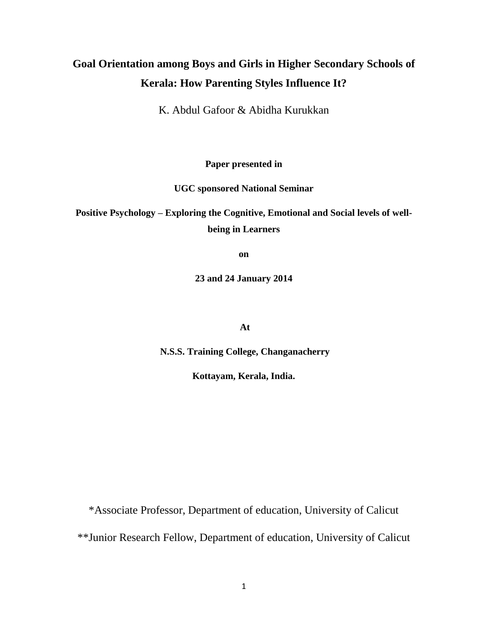# **Goal Orientation among Boys and Girls in Higher Secondary Schools of Kerala: How Parenting Styles Influence It?**

K. Abdul Gafoor & Abidha Kurukkan

**Paper presented in** 

**UGC sponsored National Seminar** 

**Positive Psychology – Exploring the Cognitive, Emotional and Social levels of wellbeing in Learners**

**on** 

**23 and 24 January 2014** 

**At**

**N.S.S. Training College, Changanacherry**

**Kottayam, Kerala, India.** 

\*Associate Professor, Department of education, University of Calicut

\*\*Junior Research Fellow, Department of education, University of Calicut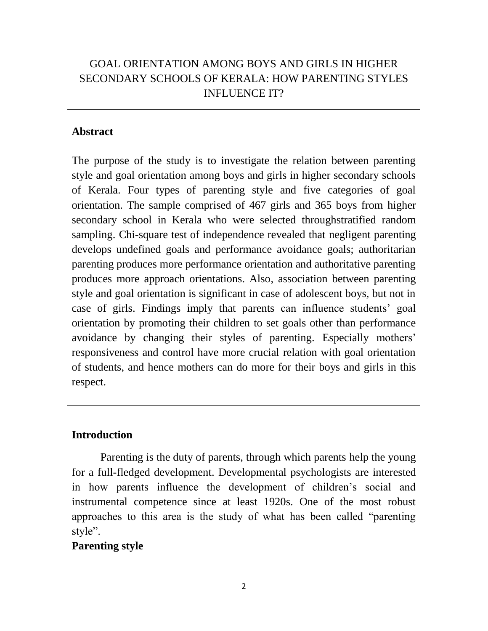## GOAL ORIENTATION AMONG BOYS AND GIRLS IN HIGHER SECONDARY SCHOOLS OF KERALA: HOW PARENTING STYLES INFLUENCE IT?

### **Abstract**

The purpose of the study is to investigate the relation between parenting style and goal orientation among boys and girls in higher secondary schools of Kerala. Four types of parenting style and five categories of goal orientation. The sample comprised of 467 girls and 365 boys from higher secondary school in Kerala who were selected throughstratified random sampling. Chi-square test of independence revealed that negligent parenting develops undefined goals and performance avoidance goals; authoritarian parenting produces more performance orientation and authoritative parenting produces more approach orientations. Also, association between parenting style and goal orientation is significant in case of adolescent boys, but not in case of girls. Findings imply that parents can influence students' goal orientation by promoting their children to set goals other than performance avoidance by changing their styles of parenting. Especially mothers' responsiveness and control have more crucial relation with goal orientation of students, and hence mothers can do more for their boys and girls in this respect.

## **Introduction**

Parenting is the duty of parents, through which parents help the young for a full-fledged development. Developmental psychologists are interested in how parents influence the development of children's social and instrumental competence since at least 1920s. One of the most robust approaches to this area is the study of what has been called "parenting style".

## **Parenting style**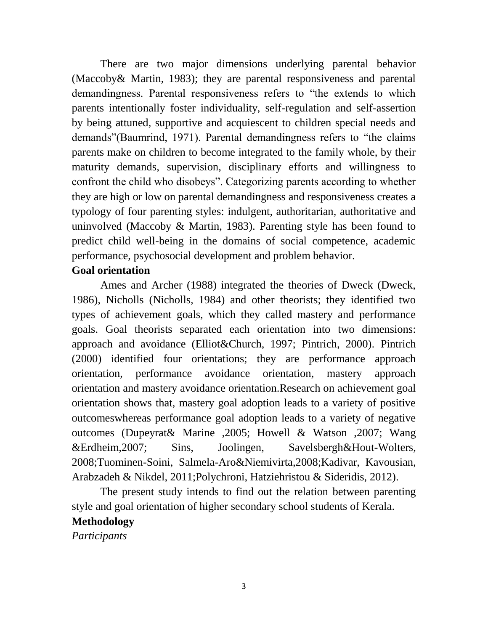There are two major dimensions underlying parental behavior (Maccoby& Martin, 1983); they are parental responsiveness and parental demandingness. Parental responsiveness refers to "the extends to which parents intentionally foster individuality, self-regulation and self-assertion by being attuned, supportive and acquiescent to children special needs and demands"(Baumrind, 1971). Parental demandingness refers to "the claims parents make on children to become integrated to the family whole, by their maturity demands, supervision, disciplinary efforts and willingness to confront the child who disobeys". Categorizing parents according to whether they are high or low on parental demandingness and responsiveness creates a typology of four parenting styles: indulgent, authoritarian, authoritative and uninvolved (Maccoby & Martin, 1983). Parenting style has been found to predict child well-being in the domains of social competence, academic performance, psychosocial development and problem behavior.

#### **Goal orientation**

Ames and Archer (1988) integrated the theories of Dweck (Dweck, 1986), Nicholls (Nicholls, 1984) and other theorists; they identified two types of achievement goals, which they called mastery and performance goals. Goal theorists separated each orientation into two dimensions: approach and avoidance (Elliot&Church, 1997; Pintrich, 2000). Pintrich (2000) identified four orientations; they are performance approach orientation, performance avoidance orientation, mastery approach orientation and mastery avoidance orientation.Research on achievement goal orientation shows that, mastery goal adoption leads to a variety of positive outcomeswhereas performance goal adoption leads to a variety of negative outcomes (Dupeyrat& Marine ,2005; Howell & Watson ,2007; Wang &Erdheim,2007; Sins, Joolingen, Savelsbergh&Hout-Wolters, 2008;Tuominen-Soini, Salmela-Aro&Niemivirta,2008;Kadivar, Kavousian, Arabzadeh & Nikdel, 2011;Polychroni, Hatziehristou & Sideridis, 2012).

The present study intends to find out the relation between parenting style and goal orientation of higher secondary school students of Kerala.

#### **Methodology**

*Participants*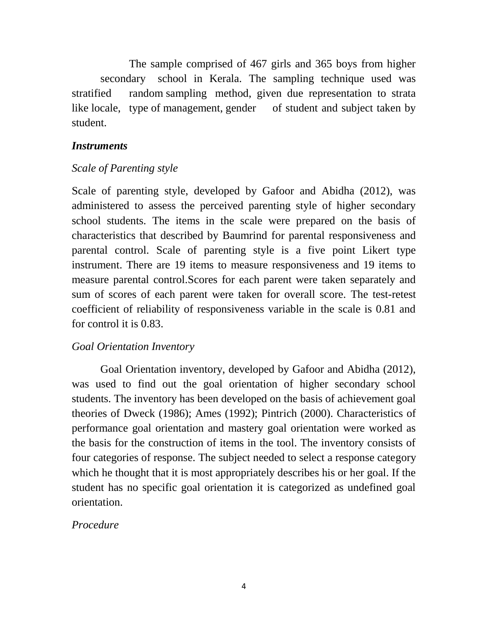The sample comprised of 467 girls and 365 boys from higher secondary school in Kerala. The sampling technique used was stratified random sampling method, given due representation to strata like locale, type of management, gender of student and subject taken by student.

#### *Instruments*

## *Scale of Parenting style*

Scale of parenting style, developed by Gafoor and Abidha (2012), was administered to assess the perceived parenting style of higher secondary school students. The items in the scale were prepared on the basis of characteristics that described by Baumrind for parental responsiveness and parental control. Scale of parenting style is a five point Likert type instrument. There are 19 items to measure responsiveness and 19 items to measure parental control.Scores for each parent were taken separately and sum of scores of each parent were taken for overall score. The test-retest coefficient of reliability of responsiveness variable in the scale is 0.81 and for control it is 0.83.

## *Goal Orientation Inventory*

Goal Orientation inventory, developed by Gafoor and Abidha (2012), was used to find out the goal orientation of higher secondary school students. The inventory has been developed on the basis of achievement goal theories of Dweck (1986); Ames (1992); Pintrich (2000). Characteristics of performance goal orientation and mastery goal orientation were worked as the basis for the construction of items in the tool. The inventory consists of four categories of response. The subject needed to select a response category which he thought that it is most appropriately describes his or her goal. If the student has no specific goal orientation it is categorized as undefined goal orientation.

## *Procedure*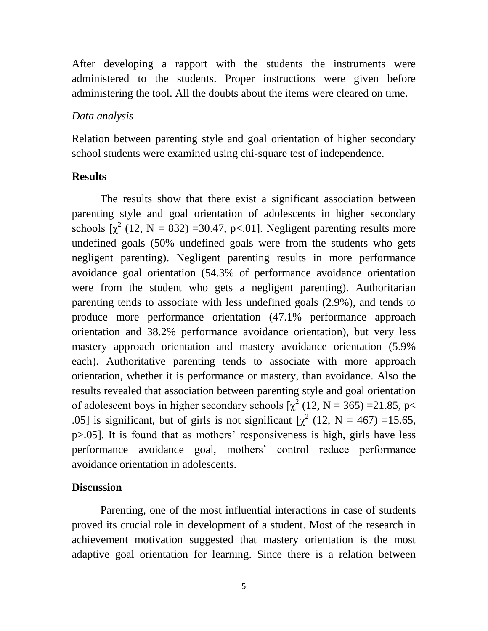After developing a rapport with the students the instruments were administered to the students. Proper instructions were given before administering the tool. All the doubts about the items were cleared on time.

#### *Data analysis*

Relation between parenting style and goal orientation of higher secondary school students were examined using chi-square test of independence.

#### **Results**

The results show that there exist a significant association between parenting style and goal orientation of adolescents in higher secondary schools  $\left[\chi^2(12, N = 832) = 30.47, p < 0.01\right]$ . Negligent parenting results more undefined goals (50% undefined goals were from the students who gets negligent parenting). Negligent parenting results in more performance avoidance goal orientation (54.3% of performance avoidance orientation were from the student who gets a negligent parenting). Authoritarian parenting tends to associate with less undefined goals (2.9%), and tends to produce more performance orientation (47.1% performance approach orientation and 38.2% performance avoidance orientation), but very less mastery approach orientation and mastery avoidance orientation (5.9% each). Authoritative parenting tends to associate with more approach orientation, whether it is performance or mastery, than avoidance. Also the results revealed that association between parenting style and goal orientation of adolescent boys in higher secondary schools  $[\chi^2 (12, N = 365) = 21.85, p <$ .05] is significant, but of girls is not significant  $[\chi^2$  (12, N = 467) =15.65, p>.05]. It is found that as mothers' responsiveness is high, girls have less performance avoidance goal, mothers' control reduce performance avoidance orientation in adolescents.

#### **Discussion**

Parenting, one of the most influential interactions in case of students proved its crucial role in development of a student. Most of the research in achievement motivation suggested that mastery orientation is the most adaptive goal orientation for learning. Since there is a relation between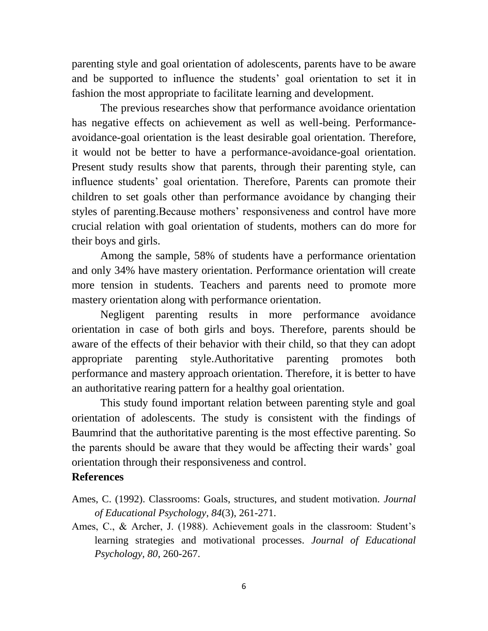parenting style and goal orientation of adolescents, parents have to be aware and be supported to influence the students' goal orientation to set it in fashion the most appropriate to facilitate learning and development.

The previous researches show that performance avoidance orientation has negative effects on achievement as well as well-being. Performanceavoidance-goal orientation is the least desirable goal orientation. Therefore, it would not be better to have a performance-avoidance-goal orientation. Present study results show that parents, through their parenting style, can influence students' goal orientation. Therefore, Parents can promote their children to set goals other than performance avoidance by changing their styles of parenting.Because mothers' responsiveness and control have more crucial relation with goal orientation of students, mothers can do more for their boys and girls.

Among the sample, 58% of students have a performance orientation and only 34% have mastery orientation. Performance orientation will create more tension in students. Teachers and parents need to promote more mastery orientation along with performance orientation.

Negligent parenting results in more performance avoidance orientation in case of both girls and boys. Therefore, parents should be aware of the effects of their behavior with their child, so that they can adopt appropriate parenting style.Authoritative parenting promotes both performance and mastery approach orientation. Therefore, it is better to have an authoritative rearing pattern for a healthy goal orientation.

This study found important relation between parenting style and goal orientation of adolescents. The study is consistent with the findings of Baumrind that the authoritative parenting is the most effective parenting. So the parents should be aware that they would be affecting their wards' goal orientation through their responsiveness and control.

#### **References**

- Ames, C. (1992). Classrooms: Goals, structures, and student motivation. *Journal of Educational Psychology*, *84*(3), 261-271.
- Ames, C., & Archer, J. (1988). Achievement goals in the classroom: Student's learning strategies and motivational processes. *Journal of Educational Psychology, 80*, 260-267.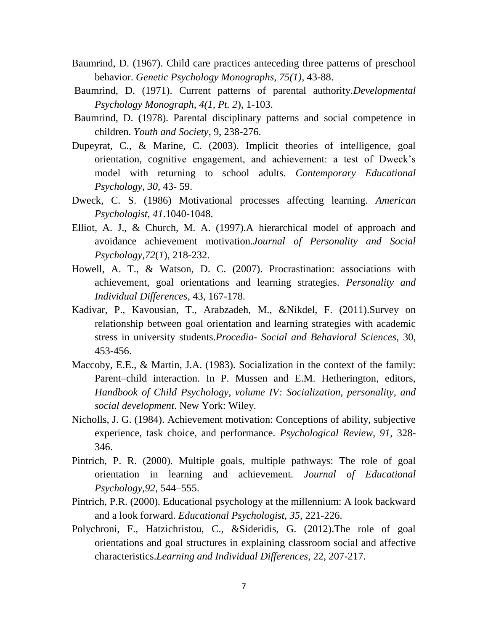- Baumrind, D. (1967). Child care practices anteceding three patterns of preschool behavior. *Genetic Psychology Monographs, 75(1)*, 43-88.
- Baumrind, D. (1971). Current patterns of parental authority.*Developmental Psychology Monograph, 4(1, Pt. 2*), 1-103.
- Baumrind, D. (1978). Parental disciplinary patterns and social competence in children. *Youth and Society*, 9, 238-276.
- Dupeyrat, C., & Marine, C. (2003). Implicit theories of intelligence, goal orientation, cognitive engagement, and achievement: a test of Dweck's model with returning to school adults. *Contemporary Educational Psychology, 30,* 43- 59.
- Dweck, C. S. (1986) Motivational processes affecting learning. *American Psychologist, 41*.1040-1048.
- Elliot, A. J., & Church, M. A. (1997).A hierarchical model of approach and avoidance achievement motivation.*Journal of Personality and Social Psychology,72*(*1*), 218-232.
- Howell, A. T., & Watson, D. C. (2007). Procrastination: associations with achievement, goal orientations and learning strategies. *Personality and Individual Differences*, 43, 167-178.
- Kadivar, P., Kavousian, T., Arabzadeh, M., &Nikdel, F. (2011).Survey on relationship between goal orientation and learning strategies with academic stress in university students.*Procedia- Social and Behavioral Sciences*, 30, 453-456.
- Maccoby, E.E., & Martin, J.A. (1983). Socialization in the context of the family: Parent–child interaction. In P. Mussen and E.M. Hetherington, editors, *Handbook of Child Psychology, volume IV: Socialization, personality, and social development*. New York: Wiley.
- Nicholls, J. G. (1984). Achievement motivation: Conceptions of ability, subjective experience, task choice, and performance. *Psychological Review, 91*, 328- 346.
- Pintrich, P. R. (2000). Multiple goals, multiple pathways: The role of goal orientation in learning and achievement. *Journal of Educational Psychology,92,* 544–555.
- Pintrich, P.R. (2000). Educational psychology at the millennium: A look backward and a look forward. *Educational Psychologist, 35,* 221-226.
- Polychroni, F., Hatzichristou, C., &Sideridis, G. (2012).The role of goal orientations and goal structures in explaining classroom social and affective characteristics.*Learning and Individual Differences*, 22, 207-217.